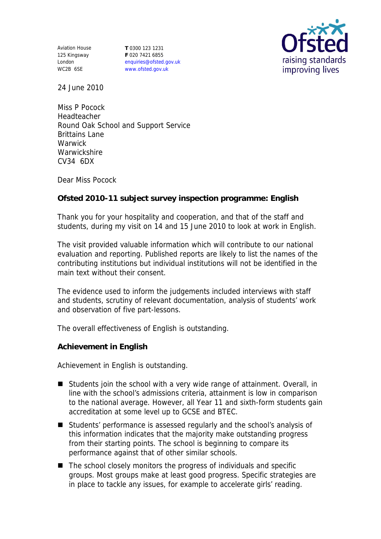Aviation House 125 Kingsway London WC2B 6SE

**T** 0300 123 1231 **F** 020 7421 6855 enquiries@ofsted.gov.uk www.ofsted.gov.uk



24 June 2010

Miss P Pocock Headteacher Round Oak School and Support Service Brittains Lane **Warwick Warwickshire** CV34 6DX

Dear Miss Pocock

**Ofsted 2010-11 subject survey inspection programme: English** 

Thank you for your hospitality and cooperation, and that of the staff and students, during my visit on 14 and 15 June 2010 to look at work in English.

The visit provided valuable information which will contribute to our national evaluation and reporting. Published reports are likely to list the names of the contributing institutions but individual institutions will not be identified in the main text without their consent.

The evidence used to inform the judgements included interviews with staff and students, scrutiny of relevant documentation, analysis of students' work and observation of five part-lessons.

The overall effectiveness of English is outstanding.

**Achievement in English**

Achievement in English is outstanding.

- Students join the school with a very wide range of attainment. Overall, in line with the school's admissions criteria, attainment is low in comparison to the national average. However, all Year 11 and sixth-form students gain accreditation at some level up to GCSE and BTEC.
- Students' performance is assessed regularly and the school's analysis of this information indicates that the majority make outstanding progress from their starting points. The school is beginning to compare its performance against that of other similar schools.
- The school closely monitors the progress of individuals and specific groups. Most groups make at least good progress. Specific strategies are in place to tackle any issues, for example to accelerate girls' reading.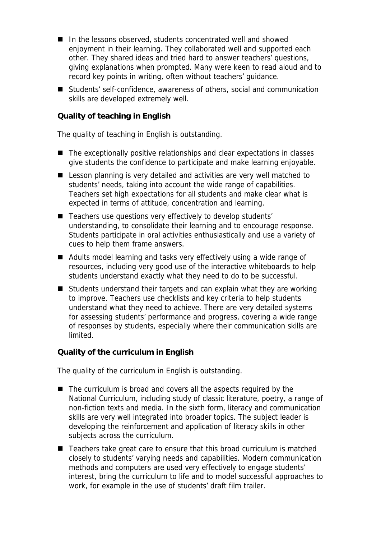- In the lessons observed, students concentrated well and showed enjoyment in their learning. They collaborated well and supported each other. They shared ideas and tried hard to answer teachers' questions, giving explanations when prompted. Many were keen to read aloud and to record key points in writing, often without teachers' guidance.
- Students' self-confidence, awareness of others, social and communication skills are developed extremely well.

**Quality of teaching in English**

The quality of teaching in English is outstanding.

- The exceptionally positive relationships and clear expectations in classes give students the confidence to participate and make learning enjoyable.
- Lesson planning is very detailed and activities are very well matched to students' needs, taking into account the wide range of capabilities. Teachers set high expectations for all students and make clear what is expected in terms of attitude, concentration and learning.
- Teachers use questions very effectively to develop students' understanding, to consolidate their learning and to encourage response. Students participate in oral activities enthusiastically and use a variety of cues to help them frame answers.
- Adults model learning and tasks very effectively using a wide range of resources, including very good use of the interactive whiteboards to help students understand exactly what they need to do to be successful.
- Students understand their targets and can explain what they are working to improve. Teachers use checklists and key criteria to help students understand what they need to achieve. There are very detailed systems for assessing students' performance and progress, covering a wide range of responses by students, especially where their communication skills are limited.

**Quality of the curriculum in English** 

The quality of the curriculum in English is outstanding.

- The curriculum is broad and covers all the aspects required by the National Curriculum, including study of classic literature, poetry, a range of non-fiction texts and media. In the sixth form, literacy and communication skills are very well integrated into broader topics. The subject leader is developing the reinforcement and application of literacy skills in other subjects across the curriculum.
- Teachers take great care to ensure that this broad curriculum is matched closely to students' varying needs and capabilities. Modern communication methods and computers are used very effectively to engage students' interest, bring the curriculum to life and to model successful approaches to work, for example in the use of students' draft film trailer.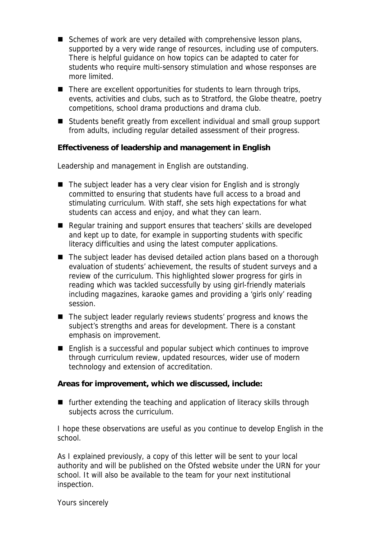- Schemes of work are very detailed with comprehensive lesson plans, supported by a very wide range of resources, including use of computers. There is helpful guidance on how topics can be adapted to cater for students who require multi-sensory stimulation and whose responses are more limited.
- $\blacksquare$  There are excellent opportunities for students to learn through trips, events, activities and clubs, such as to Stratford, the Globe theatre, poetry competitions, school drama productions and drama club.
- Students benefit greatly from excellent individual and small group support from adults, including regular detailed assessment of their progress.

**Effectiveness of leadership and management in English**

Leadership and management in English are outstanding.

- The subject leader has a very clear vision for English and is strongly committed to ensuring that students have full access to a broad and stimulating curriculum. With staff, she sets high expectations for what students can access and enjoy, and what they can learn.
- Regular training and support ensures that teachers' skills are developed and kept up to date, for example in supporting students with specific literacy difficulties and using the latest computer applications.
- The subject leader has devised detailed action plans based on a thorough evaluation of students' achievement, the results of student surveys and a review of the curriculum. This highlighted slower progress for girls in reading which was tackled successfully by using girl-friendly materials including magazines, karaoke games and providing a 'girls only' reading session.
- The subject leader regularly reviews students' progress and knows the subject's strengths and areas for development. There is a constant emphasis on improvement.
- English is a successful and popular subject which continues to improve through curriculum review, updated resources, wider use of modern technology and extension of accreditation.

**Areas for improvement, which we discussed, include:**

■ further extending the teaching and application of literacy skills through subjects across the curriculum.

I hope these observations are useful as you continue to develop English in the school.

As I explained previously, a copy of this letter will be sent to your local authority and will be published on the Ofsted website under the URN for your school. It will also be available to the team for your next institutional inspection.

Yours sincerely